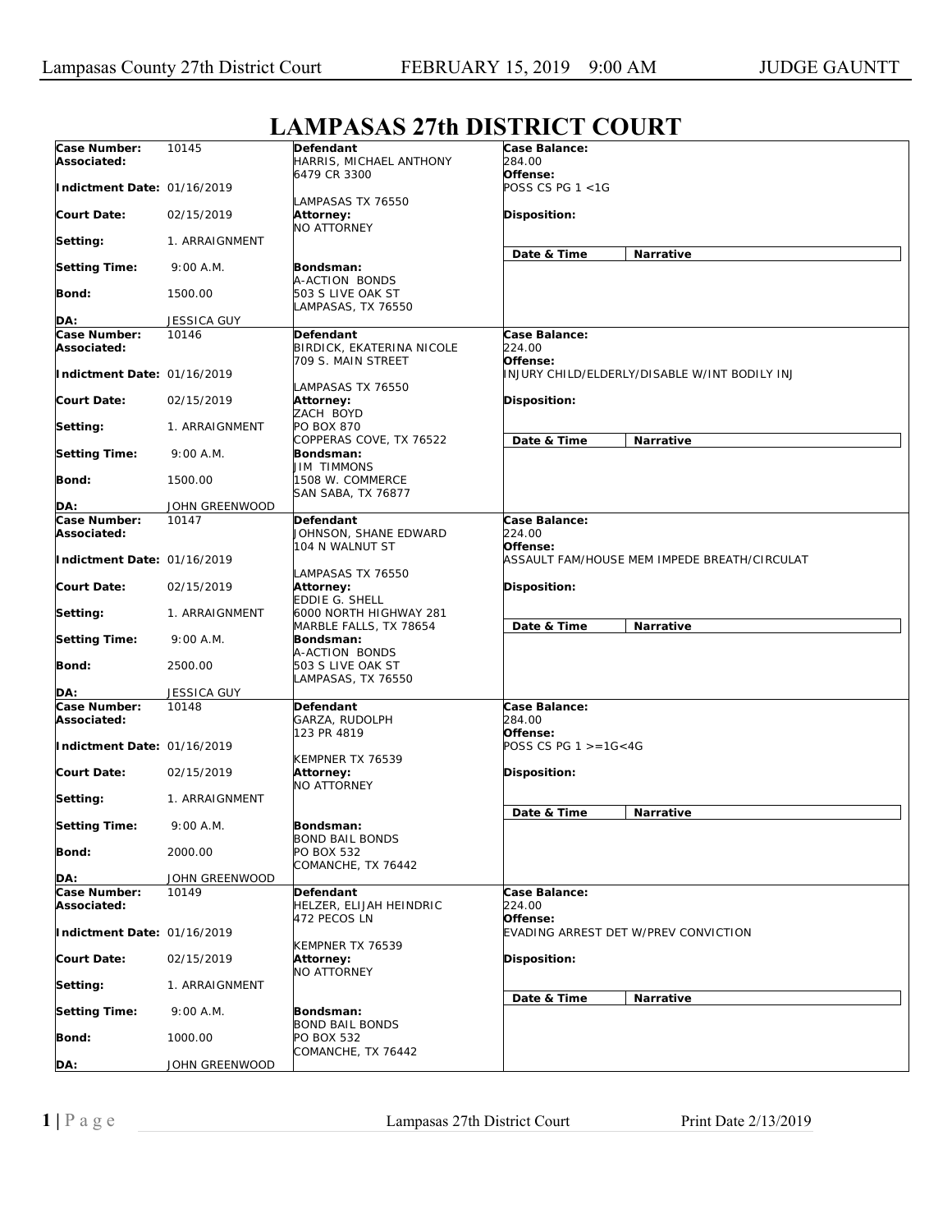## **Case Number: Associated: Indictment Date:**  01/16/2019 **Court Date: Setting: Setting Time: Bond: DA:** 10145 02/15/2019 1. ARRAIGNMENT 9:00 A.M. 1500.00 JESSICA GUY **Defendant**  HARRIS, MICHAEL ANTHONY 6479 CR 3300 LAMPASAS TX 76550 **Attorney:**  NO ATTORNEY **Bondsman:**  A-ACTION BONDS 503 S LIVE OAK ST LAMPASAS, TX 76550 **Case Balance:**  *284.00*  **Offense:**  *POSS CS PG 1 <1G*  **Disposition: Date & Time Narrative Case Number: Associated: Indictment Date:**  01/16/2019 **Court Date: Setting: Setting Time: Bond: DA:** 10146 02/15/2019 1. ARRAIGNMENT 9:00 A.M. 1500.00 JOHN GREENWOOD **Defendant**  BIRDICK, EKATERINA NICOLE 709 S. MAIN STREET LAMPASAS TX 76550 **Attorney:**  ZACH BOYD PO BOX 870 COPPERAS COVE, TX 76522 **Bondsman:**  JIM TIMMONS 1508 W. COMMERCE SAN SABA, TX 76877 **Case Balance:**  *224.00*  **Offense:**  *INJURY CHILD/ELDERLY/DISABLE W/INT BODILY INJ*  **Disposition: Date & Time Narrative Case Number: Associated: Indictment Date:**  01/16/2019 **Court Date: Setting: Setting Time: Bond: DA:** 10147 02/15/2019 1. ARRAIGNMENT 9:00 A.M. 2500.00 JESSICA GUY **Defendant**  JOHNSON, SHANE EDWARD 104 N WALNUT ST LAMPASAS TX 76550 **Attorney:**  EDDIE G. SHELL 6000 NORTH HIGHWAY 281 MARBLE FALLS, TX 78654 **Bondsman:**  A-ACTION BONDS 503 S LIVE OAK ST LAMPASAS, TX 76550 **Case Balance:**  *224.00*  **Offense:**  *ASSAULT FAM/HOUSE MEM IMPEDE BREATH/CIRCULAT* **Disposition: Date & Time Narrative Case Number: Associated: Indictment Date:**  01/16/2019 **Court Date: Setting: Setting Time: Bond: DA:** 10148 02/15/2019 1. ARRAIGNMENT 9:00 A.M. 2000.00 JOHN GREENWOOD **Defendant**  GARZA, RUDOLPH 123 PR 4819 KEMPNER TX 76539 **Attorney:**  NO ATTORNEY **Bondsman:**  BOND BAIL BONDS PO BOX 532 COMANCHE, TX 76442 **Case Balance:**  *284.00*  **Offense:**  *POSS CS PG 1 >=1G<4G*  **Disposition: Date & Time Narrative Case Number: Associated: Indictment Date:**  01/16/2019 **Court Date: Setting: Setting Time: Bond: DA:** 10149 02/15/2019 1. ARRAIGNMENT 9:00 A.M. 1000.00 JOHN GREENWOOD **Defendant**  HELZER, ELIJAH HEINDRIC 472 PECOS LN KEMPNER TX 76539 **Attorney:**  NO ATTORNEY **Bondsman:**  BOND BAIL BONDS PO BOX 532 COMANCHE, TX 76442 **Case Balance:**  *224.00*  **Offense:**  *EVADING ARREST DET W/PREV CONVICTION*  **Disposition: Date & Time Narrative**

## **LAMPASAS 27th DISTRICT COURT**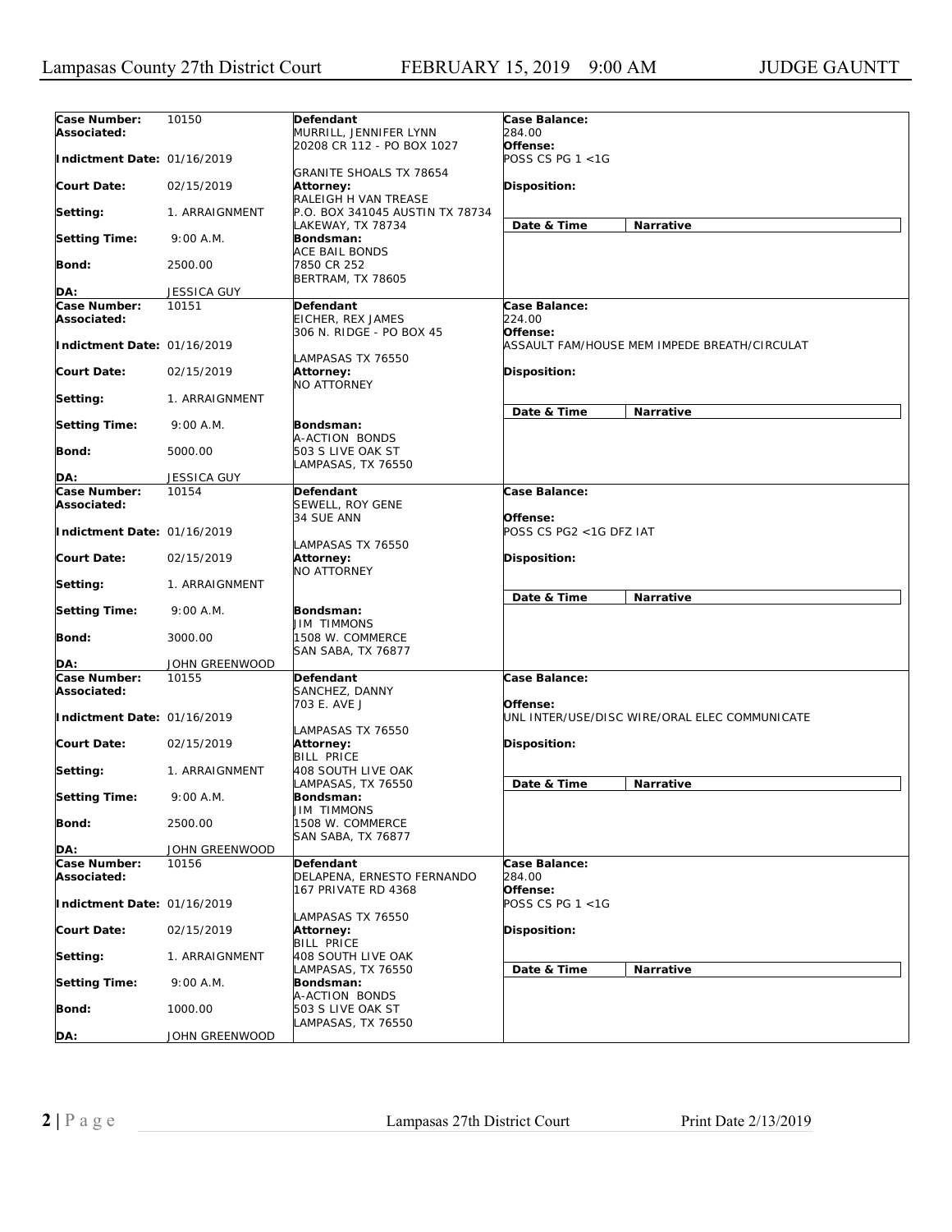| Case Number:                | 10150                   | Defendant                                            | Case Balance:                                             |
|-----------------------------|-------------------------|------------------------------------------------------|-----------------------------------------------------------|
| Associated:                 |                         | MURRILL, JENNIFER LYNN<br>20208 CR 112 - PO BOX 1027 | 284.00<br>Offense:                                        |
| Indictment Date: 01/16/2019 |                         | <b>GRANITE SHOALS TX 78654</b>                       | POSS CS PG 1 <1G                                          |
| <b>Court Date:</b>          | 02/15/2019              | Attorney:<br>RALEIGH H VAN TREASE                    | <b>Disposition:</b>                                       |
| Setting:                    | 1. ARRAIGNMENT          | P.O. BOX 341045 AUSTIN TX 78734<br>LAKEWAY, TX 78734 | Date & Time<br>Narrative                                  |
| <b>Setting Time:</b>        | 9:00 A.M.               | Bondsman:<br><b>ACE BAIL BONDS</b>                   |                                                           |
| <b>Bond:</b>                | 2500.00                 | 7850 CR 252<br><b>BERTRAM, TX 78605</b>              |                                                           |
| DA:                         | <b>JESSICA GUY</b>      |                                                      |                                                           |
| Case Number:                | 10151                   | Defendant                                            | Case Balance:                                             |
| Associated:                 |                         | EICHER, REX JAMES<br>306 N. RIDGE - PO BOX 45        | 224.00<br>Offense:                                        |
| Indictment Date: 01/16/2019 |                         | LAMPASAS TX 76550                                    | ASSAULT FAM/HOUSE MEM IMPEDE BREATH/CIRCULAT              |
| Court Date:                 | 02/15/2019              | Attorney:<br><b>NO ATTORNEY</b>                      | <b>Disposition:</b>                                       |
| Setting:                    | 1. ARRAIGNMENT          |                                                      | Date & Time<br>Narrative                                  |
| <b>Setting Time:</b>        | 9:00 A.M.               | Bondsman:<br>A-ACTION BONDS                          |                                                           |
| Bond:                       | 5000.00                 | 503 S LIVE OAK ST<br>LAMPASAS, TX 76550              |                                                           |
| DA:                         | JESSICA GUY             |                                                      |                                                           |
| Case Number:                | 10154                   | Defendant                                            | Case Balance:                                             |
| Associated:                 |                         | SEWELL, ROY GENE<br>34 SUE ANN                       | Offense:                                                  |
| Indictment Date: 01/16/2019 |                         | LAMPASAS TX 76550                                    | POSS CS PG2 <1G DFZ IAT                                   |
| Court Date:                 | 02/15/2019              | Attorney:<br><b>NO ATTORNEY</b>                      | <b>Disposition:</b>                                       |
| Setting:                    | 1. ARRAIGNMENT          |                                                      | Date & Time<br>Narrative                                  |
| <b>Setting Time:</b>        | 9:00 A.M.               | Bondsman:<br><b>JIM TIMMONS</b>                      |                                                           |
| <b>Bond:</b>                | 3000.00                 | 1508 W. COMMERCE<br>SAN SABA, TX 76877               |                                                           |
| DA:                         | JOHN GREENWOOD          |                                                      |                                                           |
| Case Number:<br>Associated: | 10155                   | Defendant<br>SANCHEZ, DANNY                          | Case Balance:                                             |
| Indictment Date: 01/16/2019 |                         | 703 E. AVE J                                         | Offense:<br>UNL INTER/USE/DISC WIRE/ORAL ELEC COMMUNICATE |
| <b>Court Date:</b>          | 02/15/2019              | LAMPASAS TX 76550<br><b>Attorney:</b>                | <b>Disposition:</b>                                       |
| Setting:                    | 1. ARRAIGNMENT          | <b>BILL PRICE</b><br>408 SOUTH LIVE OAK              |                                                           |
| <b>Setting Time:</b>        | 9:00 A.M.               | LAMPASAS, TX 76550<br>Bondsman:                      | Date & Time<br>Narrative                                  |
| <b>Bond:</b>                | 2500.00                 | <b>JIM TIMMONS</b><br>1508 W. COMMERCE               |                                                           |
|                             |                         | SAN SABA, TX 76877                                   |                                                           |
| DA:<br>Case Number:         | JOHN GREENWOOD<br>10156 | Defendant                                            | Case Balance:                                             |
| Associated:                 |                         | DELAPENA, ERNESTO FERNANDO<br>167 PRIVATE RD 4368    | 284.00<br>Offense:                                        |
| Indictment Date: 01/16/2019 |                         | LAMPASAS TX 76550                                    | POSS CS PG 1 <1G                                          |
| <b>Court Date:</b>          | 02/15/2019              | Attorney:<br><b>BILL PRICE</b>                       | Disposition:                                              |
| Setting:                    | 1. ARRAIGNMENT          | 408 SOUTH LIVE OAK                                   |                                                           |
| <b>Setting Time:</b>        | 9:00 A.M.               | LAMPASAS, TX 76550<br>Bondsman:                      | Date & Time<br>Narrative                                  |
| Bond:                       | 1000.00                 | A-ACTION BONDS<br>503 S LIVE OAK ST                  |                                                           |
| DA:                         | JOHN GREENWOOD          | LAMPASAS, TX 76550                                   |                                                           |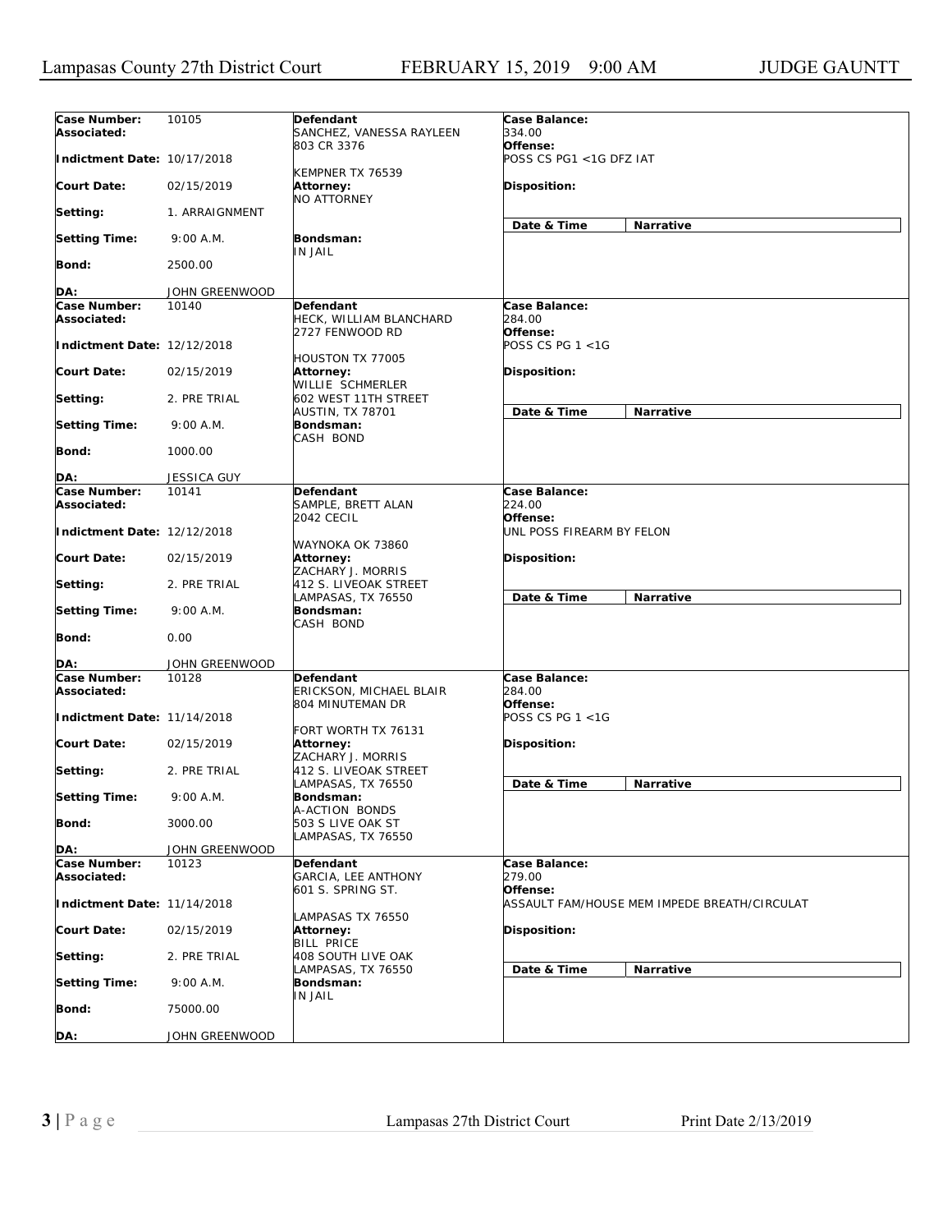| Case Number:<br>Associated: | 10105              | Defendant<br>SANCHEZ, VANESSA RAYLEEN                           | Case Balance:<br>334.00               |                                              |
|-----------------------------|--------------------|-----------------------------------------------------------------|---------------------------------------|----------------------------------------------|
| Indictment Date: 10/17/2018 |                    | 803 CR 3376                                                     | Offense:<br>POSS CS PG1 <1G DFZ IAT   |                                              |
| <b>Court Date:</b>          | 02/15/2019         | KEMPNER TX 76539<br><b>Attorney:</b><br><b>NO ATTORNEY</b>      | Disposition:                          |                                              |
| Setting:                    | 1. ARRAIGNMENT     |                                                                 | Date & Time                           | Narrative                                    |
| <b>Setting Time:</b>        | 9:00 A.M.          | Bondsman:<br>IN JAIL                                            |                                       |                                              |
| <b>Bond:</b>                | 2500.00            |                                                                 |                                       |                                              |
| DA:                         | JOHN GREENWOOD     |                                                                 |                                       |                                              |
| Case Number:                | 10140              | <b>Defendant</b>                                                | Case Balance:                         |                                              |
| Associated:                 |                    | HECK, WILLIAM BLANCHARD<br>2727 FENWOOD RD                      | 284.00<br>Offense:                    |                                              |
| Indictment Date: 12/12/2018 |                    | <b>HOUSTON TX 77005</b>                                         | POSS CS PG 1 <1G                      |                                              |
| <b>Court Date:</b>          | 02/15/2019         | Attorney:<br>WILLIE SCHMERLER                                   | Disposition:                          |                                              |
| Setting:                    | 2. PRE TRIAL       | 602 WEST 11TH STREET<br>AUSTIN, TX 78701                        | Date & Time                           | Narrative                                    |
| <b>Setting Time:</b>        | 9:00 A.M.          | Bondsman:<br>CASH BOND                                          |                                       |                                              |
| <b>Bond:</b>                | 1000.00            |                                                                 |                                       |                                              |
| DA:                         | <b>JESSICA GUY</b> |                                                                 |                                       |                                              |
| Case Number:                | 10141              | Defendant                                                       | Case Balance:                         |                                              |
| Associated:                 |                    | SAMPLE, BRETT ALAN                                              | 224.00                                |                                              |
| Indictment Date: 12/12/2018 |                    | <b>2042 CECIL</b>                                               | Offense:<br>UNL POSS FIREARM BY FELON |                                              |
| <b>Court Date:</b>          | 02/15/2019         | WAYNOKA OK 73860<br>Attorney:<br>ZACHARY J. MORRIS              | <b>Disposition:</b>                   |                                              |
| Setting:                    | 2. PRE TRIAL       | 412 S. LIVEOAK STREET<br>LAMPASAS, TX 76550                     | Date & Time                           | Narrative                                    |
| <b>Setting Time:</b>        | 9:00 A.M.          | Bondsman:<br>CASH BOND                                          |                                       |                                              |
| <b>Bond:</b>                | 0.00               |                                                                 |                                       |                                              |
| DA:                         | JOHN GREENWOOD     |                                                                 |                                       |                                              |
| Case Number:<br>Associated: | 10128              | <b>Defendant</b><br>ERICKSON, MICHAEL BLAIR<br>804 MINUTEMAN DR | Case Balance:<br>284.00<br>Offense:   |                                              |
| Indictment Date: 11/14/2018 |                    |                                                                 | POSS CS PG 1 <1G                      |                                              |
| <b>Court Date:</b>          | 02/15/2019         | FORT WORTH TX 76131<br>Attorney:<br>ZACHARY J. MORRIS           | <b>Disposition:</b>                   |                                              |
| Setting:                    | 2. PRE TRIAL       | 412 S. LIVEOAK STREET                                           |                                       |                                              |
| <b>Setting Time:</b>        | 9:00 A.M.          | LAMPASAS, TX 76550<br>Bondsman:                                 | Date & Time                           | Narrative                                    |
| <b>Bond:</b>                | 3000.00            | A-ACTION BONDS<br>503 S LIVE OAK ST<br>LAMPASAS, TX 76550       |                                       |                                              |
| DA:                         | JOHN GREENWOOD     |                                                                 |                                       |                                              |
| Case Number:                | 10123              | Defendant                                                       | Case Balance:                         |                                              |
| Associated:                 |                    | GARCIA, LEE ANTHONY<br>601 S. SPRING ST.                        | 279.00<br>Offense:                    |                                              |
| Indictment Date: 11/14/2018 |                    | LAMPASAS TX 76550                                               |                                       | ASSAULT FAM/HOUSE MEM IMPEDE BREATH/CIRCULAT |
| <b>Court Date:</b>          | 02/15/2019         | Attorney:<br><b>BILL PRICE</b>                                  | Disposition:                          |                                              |
| Setting:                    | 2. PRE TRIAL       | 408 SOUTH LIVE OAK<br>LAMPASAS, TX 76550                        | Date & Time                           | Narrative                                    |
| <b>Setting Time:</b>        | 9:00 A.M.          | Bondsman:<br>IN JAIL                                            |                                       |                                              |
| Bond:                       | 75000.00           |                                                                 |                                       |                                              |
| DA:                         | JOHN GREENWOOD     |                                                                 |                                       |                                              |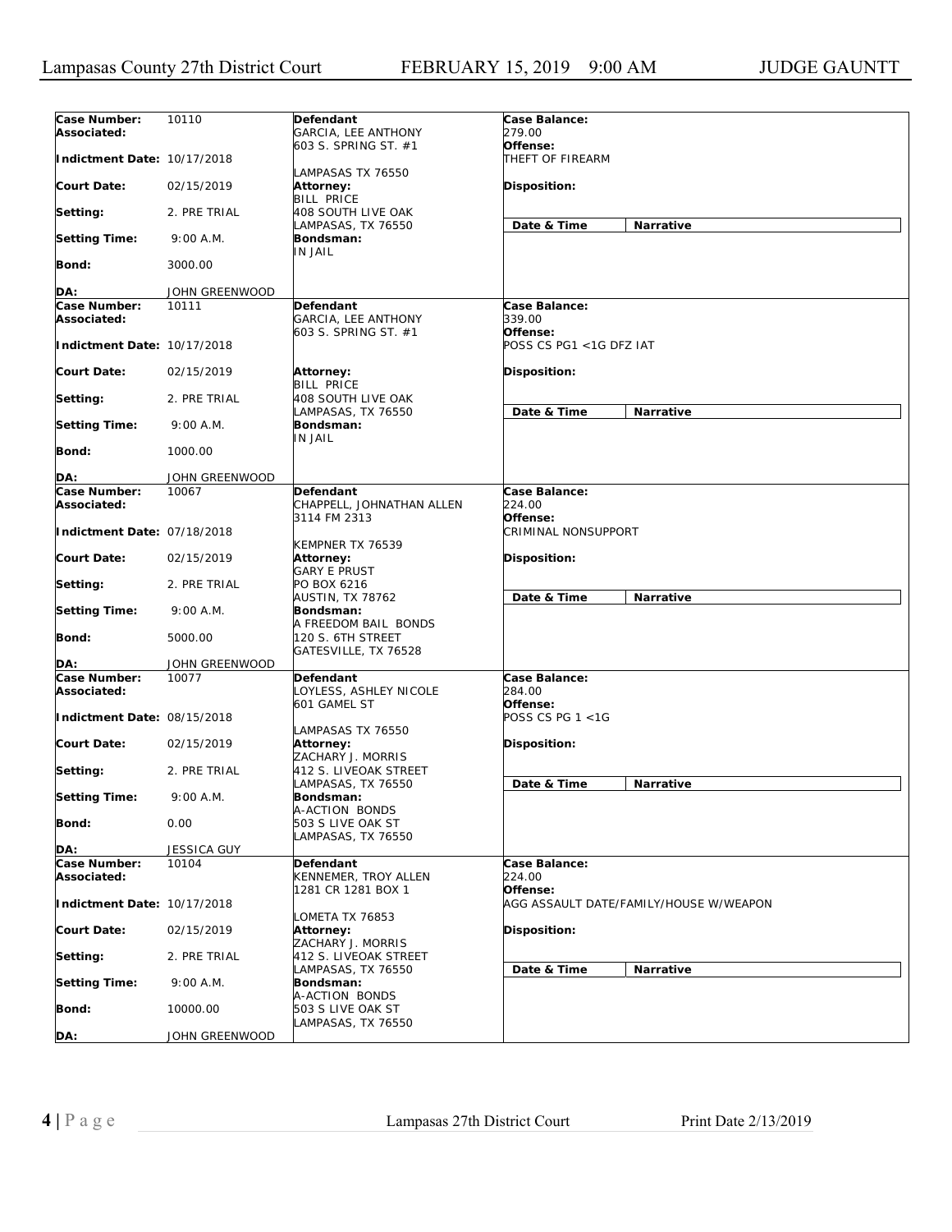| Case Number:<br>Associated: | 10110              | Defendant<br>GARCIA, LEE ANTHONY                         | Case Balance:<br>279.00                |                                        |
|-----------------------------|--------------------|----------------------------------------------------------|----------------------------------------|----------------------------------------|
| Indictment Date: 10/17/2018 |                    | 603 S. SPRING ST. #1<br>LAMPASAS TX 76550                | Offense:<br>THEFT OF FIREARM           |                                        |
| <b>Court Date:</b>          | 02/15/2019         | Attorney:<br><b>BILL PRICE</b>                           | Disposition:                           |                                        |
| Setting:                    | 2. PRE TRIAL       | 408 SOUTH LIVE OAK<br>LAMPASAS, TX 76550                 | Date & Time                            | Narrative                              |
| <b>Setting Time:</b>        | 9:00 A.M.          | Bondsman:<br>IN JAIL                                     |                                        |                                        |
| Bond:                       | 3000.00            |                                                          |                                        |                                        |
| DA:                         | JOHN GREENWOOD     |                                                          |                                        |                                        |
| Case Number:<br>Associated: | 10111              | Defendant<br>GARCIA, LEE ANTHONY<br>603 S. SPRING ST. #1 | Case Balance:<br>339.00<br>Offense:    |                                        |
| Indictment Date: 10/17/2018 |                    |                                                          | POSS CS PG1 <1G DFZ IAT                |                                        |
| <b>Court Date:</b>          | 02/15/2019         | Attorney:<br><b>BILL PRICE</b>                           | Disposition:                           |                                        |
| Setting:                    | 2. PRE TRIAL       | 408 SOUTH LIVE OAK<br>LAMPASAS, TX 76550                 | Date & Time                            | Narrative                              |
| <b>Setting Time:</b>        | 9:00 A.M.          | Bondsman:<br>IN JAIL                                     |                                        |                                        |
| <b>Bond:</b>                | 1000.00            |                                                          |                                        |                                        |
| DA:                         | JOHN GREENWOOD     |                                                          |                                        |                                        |
| Case Number:<br>Associated: | 10067              | Defendant<br>CHAPPELL, JOHNATHAN ALLEN                   | Case Balance:<br>224.00                |                                        |
| Indictment Date: 07/18/2018 |                    | 3114 FM 2313<br>KEMPNER TX 76539                         | Offense:<br><b>CRIMINAL NONSUPPORT</b> |                                        |
| <b>Court Date:</b>          | 02/15/2019         | Attorney:<br>GARY E PRUST                                | Disposition:                           |                                        |
| Setting:                    | 2. PRE TRIAL       | PO BOX 6216<br>AUSTIN, TX 78762                          | Date & Time                            | Narrative                              |
| <b>Setting Time:</b>        | 9:00 A.M.          | Bondsman:<br>A FREEDOM BAIL BONDS                        |                                        |                                        |
| Bond:                       | 5000.00            | 120 S. 6TH STREET<br>GATESVILLE, TX 76528                |                                        |                                        |
| DA:                         | JOHN GREENWOOD     |                                                          |                                        |                                        |
| Case Number:<br>Associated: | 10077              | Defendant<br>OYLESS, ASHLEY NICOLE<br>601 GAMEL ST       | Case Balance:<br>284.00<br>Offense:    |                                        |
| Indictment Date: 08/15/2018 |                    | LAMPASAS TX 76550                                        | POSS CS PG $1 < 1G$                    |                                        |
| <b>Court Date:</b>          | 02/15/2019         | <b>Attorney:</b><br>ZACHARY J. MORRIS                    | Disposition:                           |                                        |
| Setting:                    | 2. PRE TRIAL       | 412 S. LIVEOAK STREET<br>LAMPASAS, TX 76550              | Date & Time                            | Narrative                              |
| <b>Setting Time:</b>        | 9:00 A.M.          | Bondsman:<br>A-ACTION BONDS                              |                                        |                                        |
| <b>Bond:</b>                | 0.00               | 503 S LIVE OAK ST<br>LAMPASAS, TX 76550                  |                                        |                                        |
| DA:                         | <b>JESSICA GUY</b> |                                                          |                                        |                                        |
| Case Number:<br>Associated: | 10104              | Defendant<br>KENNEMER, TROY ALLEN<br>1281 CR 1281 BOX 1  | Case Balance:<br>224.00<br>Offense:    |                                        |
| Indictment Date: 10/17/2018 |                    |                                                          |                                        | AGG ASSAULT DATE/FAMILY/HOUSE W/WEAPON |
| <b>Court Date:</b>          | 02/15/2019         | OMETA TX 76853<br>Attorney:<br>ZACHARY J. MORRIS         | Disposition:                           |                                        |
| Setting:                    | 2. PRE TRIAL       | 412 S. LIVEOAK STREET<br>LAMPASAS, TX 76550              | Date & Time                            | Narrative                              |
| <b>Setting Time:</b>        | 9:00 A.M.          | Bondsman:<br>A-ACTION BONDS                              |                                        |                                        |
| Bond:                       | 10000.00           | 503 S LIVE OAK ST<br>LAMPASAS, TX 76550                  |                                        |                                        |
| DA:                         | JOHN GREENWOOD     |                                                          |                                        |                                        |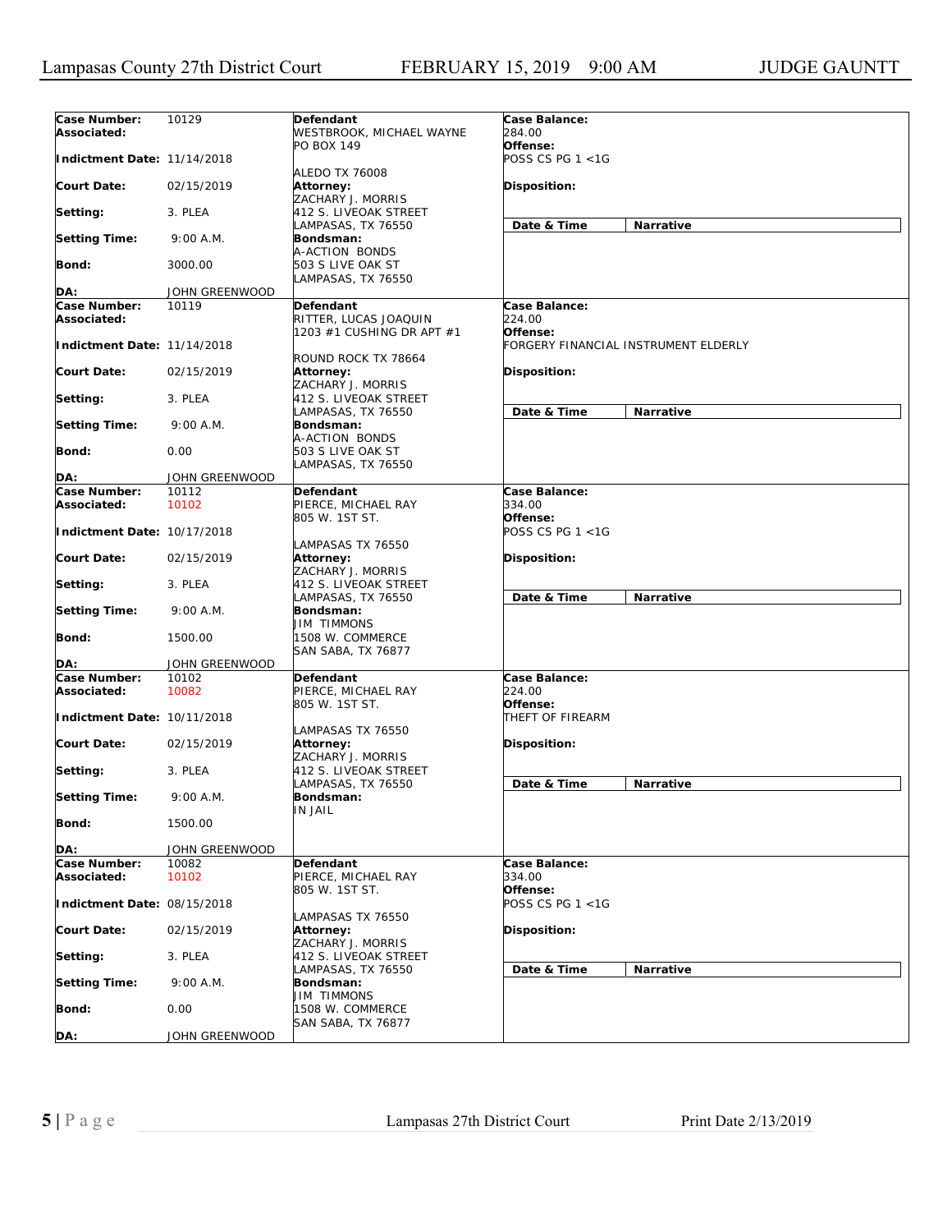| Case Number:<br>Associated: | 10129          | Defendant<br>WESTBROOK, MICHAEL WAYNE                     | Case Balance:<br>284.00              |
|-----------------------------|----------------|-----------------------------------------------------------|--------------------------------------|
| Indictment Date: 11/14/2018 |                | PO BOX 149                                                | Offense:<br>POSS CS PG 1 <1G         |
| <b>Court Date:</b>          | 02/15/2019     | <b>ALEDO TX 76008</b><br>Attorney:<br>ZACHARY J. MORRIS   | Disposition:                         |
| Setting:                    | 3. PLEA        | 412 S. LIVEOAK STREET                                     |                                      |
| <b>Setting Time:</b>        | 9:00 A.M.      | LAMPASAS, TX 76550<br>Bondsman:                           | Date & Time<br>Narrative             |
| <b>Bond:</b>                | 3000.00        | A-ACTION BONDS<br>503 S LIVE OAK ST<br>LAMPASAS, TX 76550 |                                      |
| DA:                         | JOHN GREENWOOD |                                                           |                                      |
| Case Number:                | 10119          | Defendant                                                 | Case Balance:                        |
| Associated:                 |                | RITTER, LUCAS JOAQUIN<br>1203 #1 CUSHING DR APT #1        | 224.00<br>Offense:                   |
| Indictment Date: 11/14/2018 |                | ROUND ROCK TX 78664                                       | FORGERY FINANCIAL INSTRUMENT ELDERLY |
| Court Date:                 | 02/15/2019     | <b>Attorney:</b><br>ZACHARY J. MORRIS                     | Disposition:                         |
| Setting:                    | 3. PLEA        | 412 S. LIVEOAK STREET<br>LAMPASAS, TX 76550               | Date & Time<br><b>Narrative</b>      |
| <b>Setting Time:</b>        | 9:00 A.M.      | Bondsman:<br>A-ACTION BONDS                               |                                      |
| Bond:                       | 0.00           | 503 S LIVE OAK ST<br>LAMPASAS, TX 76550                   |                                      |
| DA:                         | JOHN GREENWOOD |                                                           |                                      |
| Case Number:                | 10112          | Defendant                                                 | Case Balance:                        |
| Associated:                 | 10102          | PIERCE, MICHAEL RAY<br>805 W. 1ST ST.                     | 334.00<br>Offense:                   |
| Indictment Date: 10/17/2018 |                | LAMPASAS TX 76550                                         | POSS CS PG 1 <1G                     |
| Court Date:                 | 02/15/2019     | Attorney:<br>ZACHARY J. MORRIS                            | Disposition:                         |
| Setting:                    | 3. PLEA        | 412 S. LIVEOAK STREET<br>LAMPASAS, TX 76550               | Date & Time<br>Narrative             |
| <b>Setting Time:</b>        | 9:00 A.M.      | Bondsman:<br><b>JIM TIMMONS</b>                           |                                      |
| Bond:                       | 1500.00        | 1508 W. COMMERCE<br>SAN SABA, TX 76877                    |                                      |
| DA:                         | JOHN GREENWOOD |                                                           |                                      |
| Case Number:                | 10102          | <b>Defendant</b>                                          | Case Balance:                        |
| Associated:                 | 10082          | PIERCE, MICHAEL RAY<br>805 W. 1ST ST.                     | 224.00<br>Offense:                   |
| Indictment Date: 10/11/2018 |                | LAMPASAS TX 76550                                         | THEFT OF FIREARM                     |
| <b>Court Date:</b>          | 02/15/2019     | <b>Attorney:</b><br>ZACHARY J. MORRIS                     | Disposition:                         |
| Setting:                    | 3. PLEA        | 412 S. LIVEOAK STREET<br>LAMPASAS, TX 76550               | Date & Time<br>Narrative             |
| <b>Setting Time:</b>        | 9:00 A.M.      | Bondsman:<br><b>IN JAIL</b>                               |                                      |
| <b>Bond:</b>                | 1500.00        |                                                           |                                      |
| DA:                         | JOHN GREENWOOD |                                                           |                                      |
| Case Number:                | 10082          | Defendant                                                 | Case Balance:                        |
| Associated:                 | 10102          | PIERCE, MICHAEL RAY                                       | 334.00                               |
| Indictment Date: 08/15/2018 |                | 805 W. 1ST ST.                                            | Offense:<br>POSS CS PG 1 <1G         |
| <b>Court Date:</b>          | 02/15/2019     | LAMPASAS TX 76550<br>Attorney:<br>ZACHARY J. MORRIS       | Disposition:                         |
| Setting:                    | 3. PLEA        | 412 S. LIVEOAK STREET<br>LAMPASAS, TX 76550               |                                      |
| <b>Setting Time:</b>        | 9:00 A.M.      | Bondsman:<br><b>JIM TIMMONS</b>                           | Date & Time<br>Narrative             |
| Bond:                       | 0.00           | 1508 W. COMMERCE<br>SAN SABA, TX 76877                    |                                      |
| DA:                         | JOHN GREENWOOD |                                                           |                                      |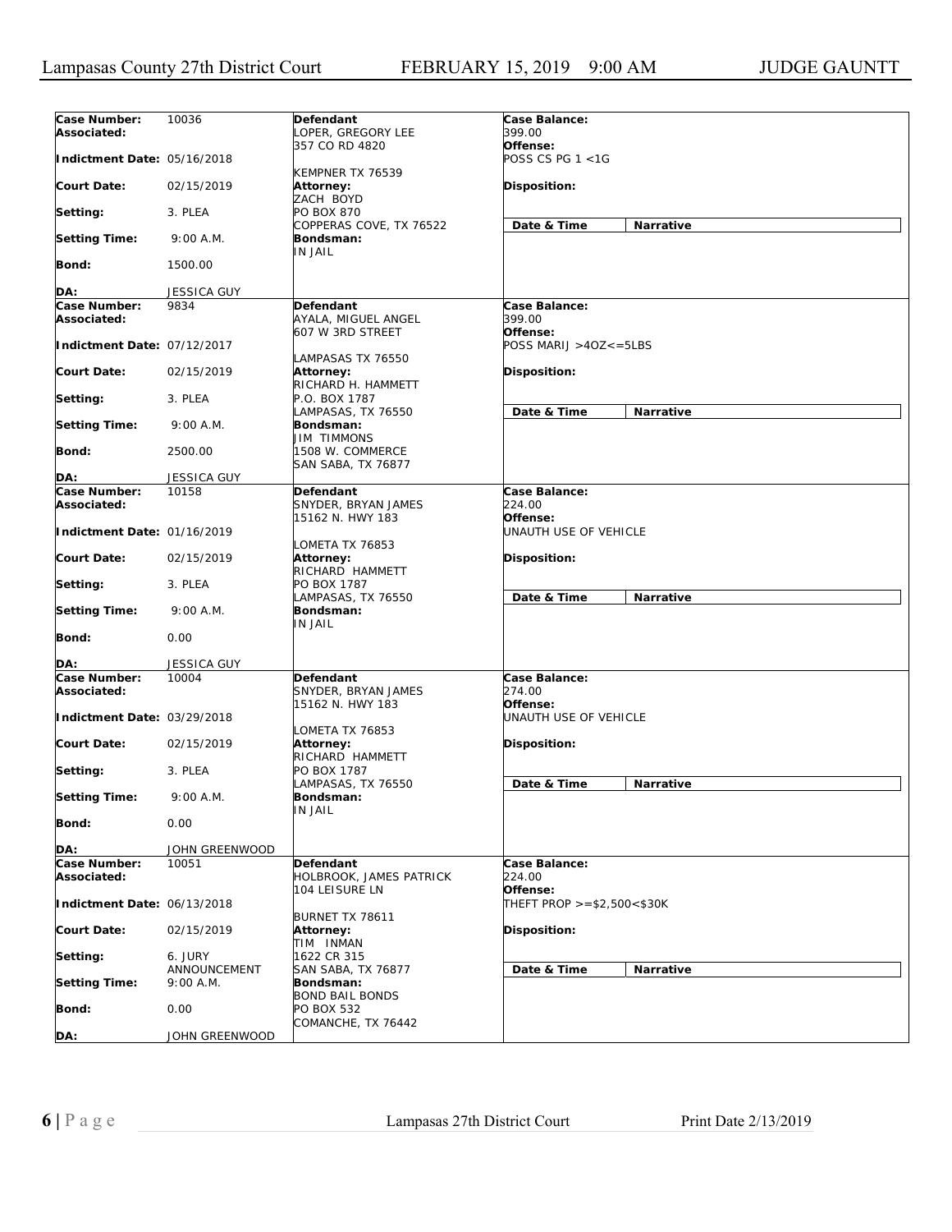| Case Number:<br>Associated: | 10036                     | Defendant<br>LOPER, GREGORY LEE                      | Case Balance:<br>399.00             |           |
|-----------------------------|---------------------------|------------------------------------------------------|-------------------------------------|-----------|
| Indictment Date: 05/16/2018 |                           | 357 CO RD 4820                                       | Offense:<br>POSS CS PG 1 <1G        |           |
| <b>Court Date:</b>          | 02/15/2019                | KEMPNER TX 76539<br>Attorney:<br>ZACH BOYD           | Disposition:                        |           |
| Setting:                    | 3. PLEA                   | PO BOX 870<br>COPPERAS COVE, TX 76522                | Date & Time                         | Narrative |
| <b>Setting Time:</b>        | 9:00 A.M.                 | Bondsman:<br>IN JAIL                                 |                                     |           |
| <b>Bond:</b>                | 1500.00                   |                                                      |                                     |           |
| DA:                         | JESSICA GUY               |                                                      |                                     |           |
| <b>Case Number:</b>         | 9834                      | Defendant                                            | Case Balance:                       |           |
| Associated:                 |                           | AYALA, MIGUEL ANGEL<br>607 W 3RD STREET              | <i>399.00</i><br>Offense:           |           |
| Indictment Date: 07/12/2017 |                           | LAMPASAS TX 76550                                    | $POSS \, MARIJ > 4OZ \le 5LBS$      |           |
| <b>Court Date:</b>          | 02/15/2019                | Attorney:<br>RICHARD H. HAMMETT                      | Disposition:                        |           |
| Setting:                    | 3. PLEA                   | P.O. BOX 1787<br>LAMPASAS, TX 76550                  | Date & Time                         | Narrative |
| <b>Setting Time:</b>        | 9:00 A.M.                 | Bondsman:<br>JIM TIMMONS                             |                                     |           |
| Bond:                       | 2500.00                   | 1508 W. COMMERCE<br>SAN SABA, TX 76877               |                                     |           |
| DA:                         | <b>JESSICA GUY</b>        |                                                      |                                     |           |
| Case Number:<br>Associated: | 10158                     | Defendant<br>SNYDER, BRYAN JAMES<br>15162 N. HWY 183 | Case Balance:<br>224.00<br>Offense: |           |
| Indictment Date: 01/16/2019 |                           | LOMETA TX 76853                                      | UNAUTH USE OF VEHICLE               |           |
| <b>Court Date:</b>          | 02/15/2019                | Attorney:<br>RICHARD HAMMETT                         | Disposition:                        |           |
| Setting:                    | 3. PLEA                   | PO BOX 1787<br>LAMPASAS, TX 76550                    | Date & Time                         | Narrative |
| <b>Setting Time:</b>        | 9:00 A.M.                 | Bondsman:<br>IN JAIL                                 |                                     |           |
| <b>Bond:</b>                | 0.00                      |                                                      |                                     |           |
| DA:                         | <b>JESSICA GUY</b>        |                                                      |                                     |           |
| Case Number:<br>Associated: | 10004                     | Defendant<br>SNYDER, BRYAN JAMES<br>15162 N. HWY 183 | Case Balance:<br>274.00<br>Offense: |           |
| Indictment Date: 03/29/2018 |                           | LOMETA TX 76853                                      | UNAUTH USE OF VEHICLE               |           |
| <b>Court Date:</b>          | 02/15/2019                | Attorney:<br>RICHARD HAMMETT                         | Disposition:                        |           |
| Setting:                    | 3. PLEA                   | PO BOX 1787<br>LAMPASAS, TX 76550                    | Date & Time                         | Narrative |
| <b>Setting Time:</b>        | 9:00 A.M.                 | Bondsman:<br><b>IN JAIL</b>                          |                                     |           |
| <b>Bond:</b>                | 0.00                      |                                                      |                                     |           |
| DA:                         | JOHN GREENWOOD            |                                                      |                                     |           |
| Case Number:                | 10051                     | Defendant                                            | Case Balance:                       |           |
| Associated:                 |                           | HOLBROOK, JAMES PATRICK<br>104 LEISURE LN            | 224.00<br>Offense:                  |           |
| Indictment Date: 06/13/2018 |                           |                                                      | THEFT PROP $> = $2,500 < $30K$      |           |
| <b>Court Date:</b>          | 02/15/2019                | BURNET TX 78611<br>Attorney:<br>TIM INMAN            | Disposition:                        |           |
| Setting:                    | 6. JURY                   | 1622 CR 315                                          |                                     |           |
| <b>Setting Time:</b>        | ANNOUNCEMENT<br>9:00 A.M. | SAN SABA, TX 76877<br>Bondsman:                      | Date & Time                         | Narrative |
| <b>Bond:</b>                | 0.00                      | <b>BOND BAIL BONDS</b><br>PO BOX 532                 |                                     |           |
| DA:                         | JOHN GREENWOOD            | COMANCHE, TX 76442                                   |                                     |           |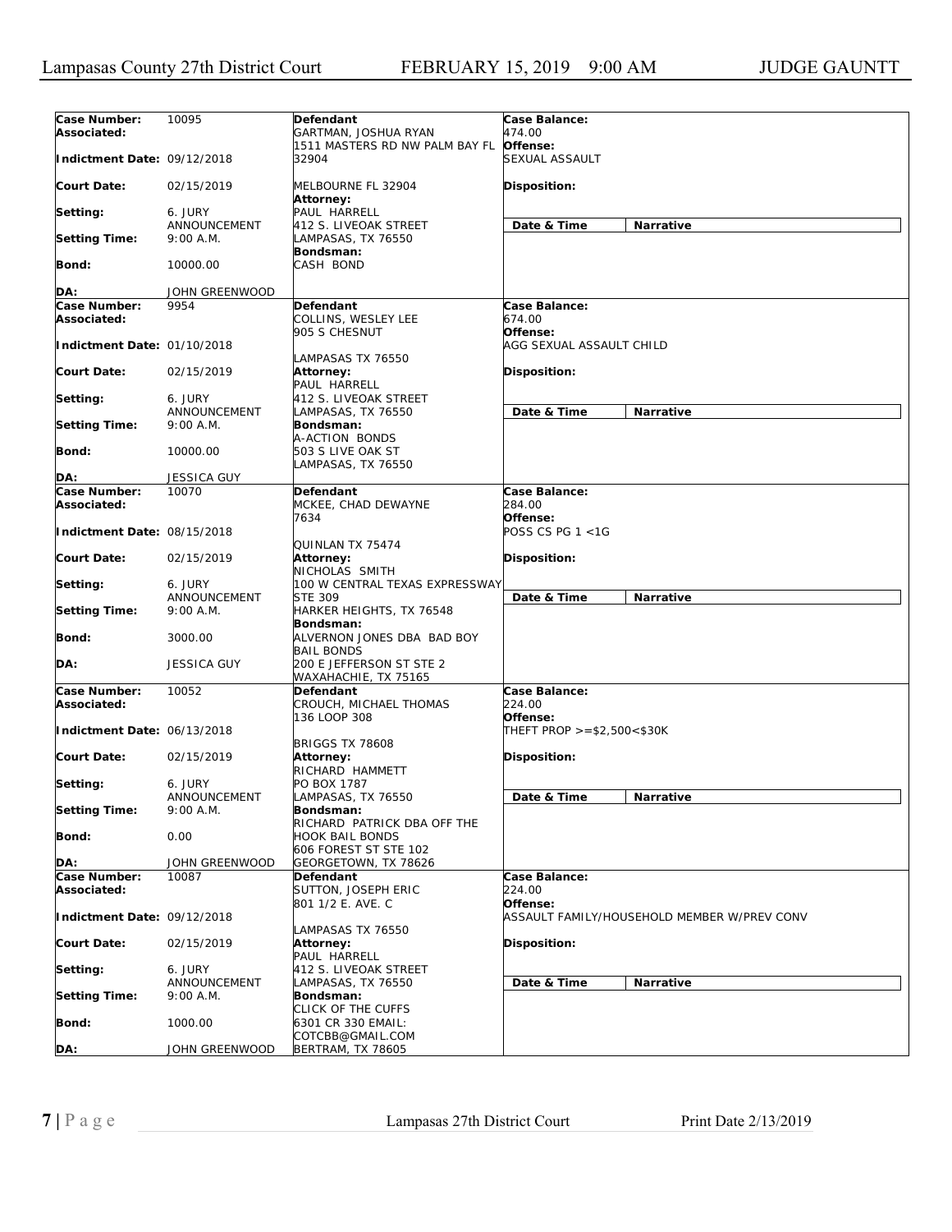| Case Number:                | 10095              | Defendant                      | Case Balance:                  |                                             |
|-----------------------------|--------------------|--------------------------------|--------------------------------|---------------------------------------------|
| Associated:                 |                    | GARTMAN, JOSHUA RYAN           | 474.00                         |                                             |
|                             |                    | 1511 MASTERS RD NW PALM BAY FL | Offense:                       |                                             |
| Indictment Date: 09/12/2018 |                    | 32904                          | SEXUAL ASSAULT                 |                                             |
|                             |                    |                                |                                |                                             |
| Court Date:                 | 02/15/2019         | MELBOURNE FL 32904             | Disposition:                   |                                             |
|                             |                    | Attorney:                      |                                |                                             |
| Setting:                    | 6. JURY            | PAUL HARRELL                   |                                |                                             |
|                             | ANNOUNCEMENT       | 412 S. LIVEOAK STREET          | Date & Time                    | Narrative                                   |
| <b>Setting Time:</b>        | 9:00 A.M.          | LAMPASAS, TX 76550             |                                |                                             |
|                             |                    | Bondsman:                      |                                |                                             |
| Bond:                       | 10000.00           | CASH BOND                      |                                |                                             |
|                             |                    |                                |                                |                                             |
| DA:                         | JOHN GREENWOOD     |                                |                                |                                             |
| Case Number:                | 9954               | Defendant                      | Case Balance:                  |                                             |
| Associated:                 |                    | COLLINS, WESLEY LEE            | 674.00                         |                                             |
|                             |                    | 905 S CHESNUT                  | Offense:                       |                                             |
| Indictment Date: 01/10/2018 |                    |                                | AGG SEXUAL ASSAULT CHILD       |                                             |
|                             |                    | LAMPASAS TX 76550              |                                |                                             |
| Court Date:                 | 02/15/2019         |                                |                                |                                             |
|                             |                    | Attorney:                      | Disposition:                   |                                             |
|                             |                    | PAUL HARRELL                   |                                |                                             |
| Setting:                    | 6. JURY            | 412 S. LIVEOAK STREET          |                                |                                             |
|                             | ANNOUNCEMENT       | LAMPASAS, TX 76550             | Date & Time                    | Narrative                                   |
| <b>Setting Time:</b>        | 9:00 A.M.          | Bondsman:                      |                                |                                             |
|                             |                    | A-ACTION BONDS                 |                                |                                             |
| Bond:                       | 10000.00           | 503 S LIVE OAK ST              |                                |                                             |
|                             |                    | LAMPASAS, TX 76550             |                                |                                             |
| DA:                         | <b>JESSICA GUY</b> |                                |                                |                                             |
| Case Number:                | 10070              | Defendant                      | Case Balance:                  |                                             |
| Associated:                 |                    | MCKEE, CHAD DEWAYNE            | 284.00                         |                                             |
|                             |                    | 7634                           | Offense:                       |                                             |
| Indictment Date: 08/15/2018 |                    |                                | POSS CS PG 1 <1G               |                                             |
|                             |                    | QUINLAN TX 75474               |                                |                                             |
| Court Date:                 | 02/15/2019         | Attorney:                      | Disposition:                   |                                             |
|                             |                    | NICHOLAS SMITH                 |                                |                                             |
| Setting:                    | 6. JURY            | 100 W CENTRAL TEXAS EXPRESSWAY |                                |                                             |
|                             | ANNOUNCEMENT       | <b>STE 309</b>                 | Date & Time                    | Narrative                                   |
| <b>Setting Time:</b>        | 9:00 A.M.          | HARKER HEIGHTS, TX 76548       |                                |                                             |
|                             |                    |                                |                                |                                             |
|                             |                    | Bondsman:                      |                                |                                             |
| Bond:                       | 3000.00            | ALVERNON JONES DBA BAD BOY     |                                |                                             |
|                             |                    | <b>BAIL BONDS</b>              |                                |                                             |
| DA:                         | <b>JESSICA GUY</b> | 200 E JEFFERSON ST STE 2       |                                |                                             |
|                             |                    | WAXAHACHIE, TX 75165           |                                |                                             |
| Case Number:                | 10052              | <b>Defendant</b>               | Case Balance:                  |                                             |
| Associated:                 |                    | CROUCH, MICHAEL THOMAS         | 224.00                         |                                             |
|                             |                    | 136 LOOP 308                   | Offense:                       |                                             |
| Indictment Date: 06/13/2018 |                    |                                | THEFT PROP $> = $2,500 < $30K$ |                                             |
|                             |                    | <b>BRIGGS TX 78608</b>         |                                |                                             |
| Court Date:                 | 02/15/2019         | Attorney:                      | Disposition:                   |                                             |
|                             |                    | RICHARD HAMMETT                |                                |                                             |
| Setting:                    | 6. JURY            | PO BOX 1787                    |                                |                                             |
|                             | ANNOUNCEMENT       | LAMPASAS, TX 76550             | Date & Time                    | Narrative                                   |
| <b>Setting Time:</b>        | 9:00 A.M.          | Bondsman:                      |                                |                                             |
|                             |                    | RICHARD PATRICK DBA OFF THE    |                                |                                             |
| Bond:                       | 0.00               | <b>HOOK BAIL BONDS</b>         |                                |                                             |
|                             |                    | 606 FOREST ST STE 102          |                                |                                             |
| DA:                         | JOHN GREENWOOD     | GEORGETOWN, TX 78626           |                                |                                             |
| Case Number:                | 10087              | Defendant                      | Case Balance:                  |                                             |
| Associated:                 |                    | SUTTON, JOSEPH ERIC            | 224.00                         |                                             |
|                             |                    | 801 1/2 E. AVE. C              | Offense:                       |                                             |
| Indictment Date: 09/12/2018 |                    |                                |                                | ASSAULT FAMILY/HOUSEHOLD MEMBER W/PREV CONV |
|                             |                    |                                |                                |                                             |
|                             |                    | LAMPASAS TX 76550              |                                |                                             |
| <b>Court Date:</b>          | 02/15/2019         | Attorney:                      | Disposition:                   |                                             |
|                             |                    | PAUL HARRELL                   |                                |                                             |
| Setting:                    | 6. JURY            | 412 S. LIVEOAK STREET          |                                |                                             |
|                             | ANNOUNCEMENT       | LAMPASAS, TX 76550             | Date & Time                    | Narrative                                   |
| <b>Setting Time:</b>        | 9:00 A.M.          | Bondsman:                      |                                |                                             |
|                             |                    | CLICK OF THE CUFFS             |                                |                                             |
| <b>Bond:</b>                | 1000.00            | 6301 CR 330 EMAIL:             |                                |                                             |
|                             |                    | COTCBB@GMAIL.COM               |                                |                                             |
| DA:                         | JOHN GREENWOOD     | BERTRAM, TX 78605              |                                |                                             |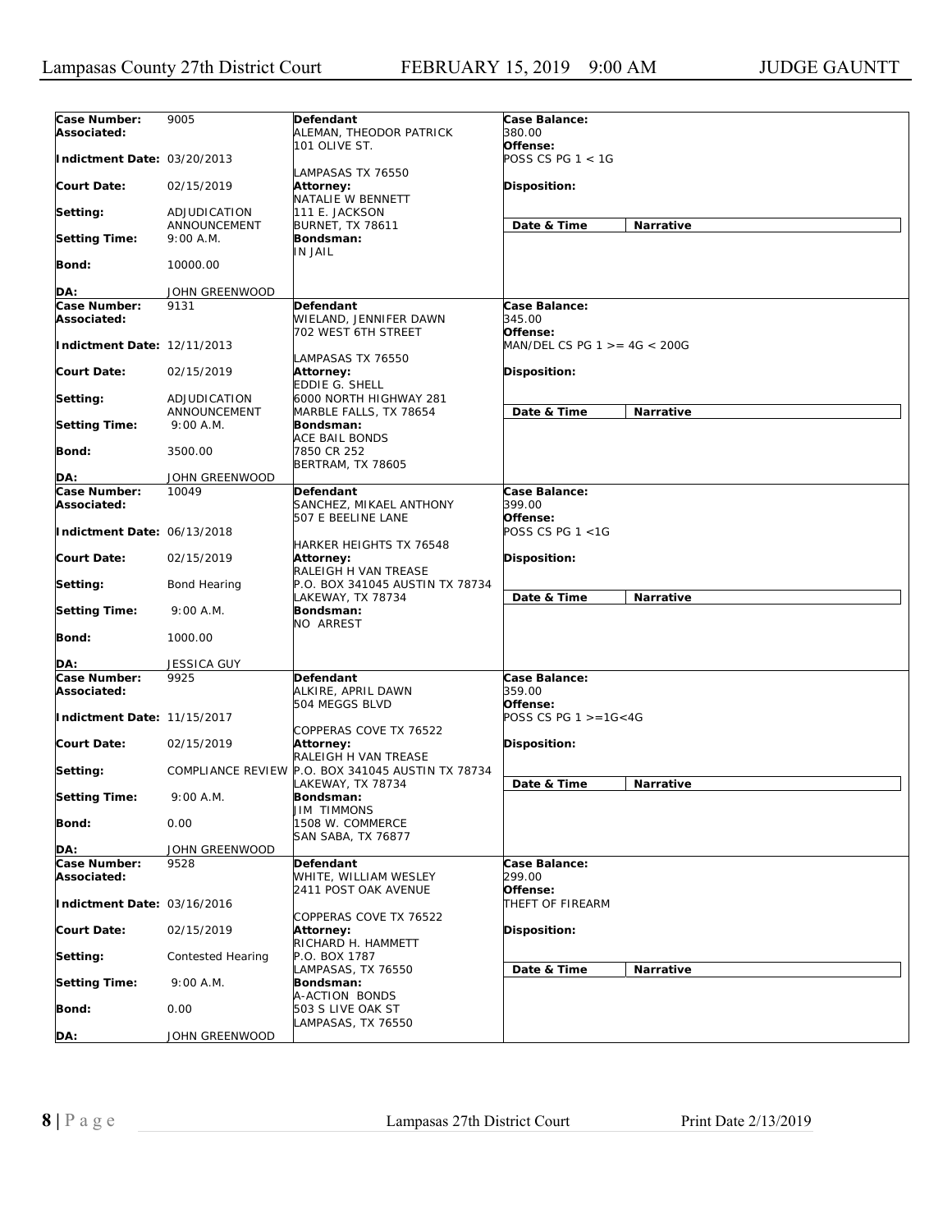| Case Number:<br>Associated: | 9005                         | Defendant<br>ALEMAN, THEODOR PATRICK                                      | Case Balance:<br>380.00             |           |
|-----------------------------|------------------------------|---------------------------------------------------------------------------|-------------------------------------|-----------|
| Indictment Date: 03/20/2013 |                              | 101 OLIVE ST.                                                             | Offense:<br>POSS CS PG 1 < 1G       |           |
| <b>Court Date:</b>          | 02/15/2019                   | LAMPASAS TX 76550<br>Attorney:<br>NATALIE W BENNETT                       | Disposition:                        |           |
| Setting:                    | ADJUDICATION                 | 111 E. JACKSON                                                            |                                     |           |
| <b>Setting Time:</b>        | ANNOUNCEMENT<br>9:00 A.M.    | <b>BURNET, TX 78611</b><br>Bondsman:                                      | Date & Time                         | Narrative |
| <b>Bond:</b>                | 10000.00                     | <b>IN JAIL</b>                                                            |                                     |           |
| DA:                         | JOHN GREENWOOD               |                                                                           |                                     |           |
| Case Number:                | 9131                         | Defendant                                                                 | Case Balance:                       |           |
| Associated:                 |                              | WIELAND, JENNIFER DAWN<br>702 WEST 6TH STREET                             | 345.00<br>Offense:                  |           |
| Indictment Date: 12/11/2013 |                              | LAMPASAS TX 76550                                                         | MAN/DEL CS PG 1 >= 4G < 200G        |           |
| <b>Court Date:</b>          | 02/15/2019                   | <b>Attorney:</b><br>EDDIE G. SHELL                                        | Disposition:                        |           |
| Setting:                    | ADJUDICATION<br>ANNOUNCEMENT | 6000 NORTH HIGHWAY 281                                                    |                                     |           |
| <b>Setting Time:</b>        | 9:00 A.M.                    | MARBLE FALLS, TX 78654<br>Bondsman:                                       | Date & Time                         | Narrative |
| <b>Bond:</b>                | 3500.00                      | ACE BAIL BONDS<br>7850 CR 252<br><b>BERTRAM, TX 78605</b>                 |                                     |           |
| DA:                         | JOHN GREENWOOD               |                                                                           |                                     |           |
| Case Number:                | 10049                        | Defendant                                                                 | <b>Case Balance:</b>                |           |
| Associated:                 |                              | SANCHEZ, MIKAEL ANTHONY                                                   | 399.00                              |           |
| Indictment Date: 06/13/2018 |                              | 507 E BEELINE LANE                                                        | Offense:<br>POSS CS PG 1 <1G        |           |
| <b>Court Date:</b>          | 02/15/2019                   | HARKER HEIGHTS TX 76548<br><b>Attorney:</b><br>RALEIGH H VAN TREASE       | Disposition:                        |           |
| Setting:                    | Bond Hearing                 | P.O. BOX 341045 AUSTIN TX 78734<br>LAKEWAY, TX 78734                      | Date & Time                         | Narrative |
| <b>Setting Time:</b>        | 9:00 A.M.                    | Bondsman:<br>NO ARREST                                                    |                                     |           |
| <b>Bond:</b>                | 1000.00                      |                                                                           |                                     |           |
| DA:                         | JESSICA GUY                  |                                                                           |                                     |           |
| Case Number:<br>Associated: | 9925                         | Defendant<br>ALKIRE, APRIL DAWN<br>504 MEGGS BLVD                         | Case Balance:<br>359.00<br>Offense: |           |
| Indictment Date: 11/15/2017 |                              |                                                                           | POSS CS PG 1 >=1G<4G                |           |
| <b>Court Date:</b>          | 02/15/2019                   | COPPERAS COVE TX 76522<br><b>Attorney:</b>                                | Disposition:                        |           |
| Setting:                    |                              | RALEIGH H VAN TREASE<br>COMPLIANCE REVIEW P.O. BOX 341045 AUSTIN TX 78734 |                                     |           |
| <b>Setting Time:</b>        | $9:00$ A.M.                  | LAKEWAY, TX 78734<br>Bondsman:                                            | Date & Time                         | Narrative |
| Bond:                       | 0.00                         | <b>JIM TIMMONS</b><br>1508 W. COMMERCE<br>SAN SABA, TX 76877              |                                     |           |
| DA:                         | JOHN GREENWOOD               |                                                                           |                                     |           |
| Case Number:                | 9528                         | Defendant                                                                 | Case Balance:                       |           |
| Associated:                 |                              | WHITE, WILLIAM WESLEY<br>2411 POST OAK AVENUE                             | 299.00<br>Offense:                  |           |
| Indictment Date: 03/16/2016 |                              | COPPERAS COVE TX 76522                                                    | THEFT OF FIREARM                    |           |
| <b>Court Date:</b>          | 02/15/2019                   | Attorney:<br>RICHARD H. HAMMETT                                           | Disposition:                        |           |
| Setting:                    | <b>Contested Hearing</b>     | P.O. BOX 1787                                                             |                                     |           |
| <b>Setting Time:</b>        | 9:00 A.M.                    | LAMPASAS, TX 76550<br>Bondsman:                                           | Date & Time                         | Narrative |
| Bond:                       | 0.00                         | A-ACTION BONDS<br>503 S LIVE OAK ST                                       |                                     |           |
| DA:                         | JOHN GREENWOOD               | LAMPASAS, TX 76550                                                        |                                     |           |